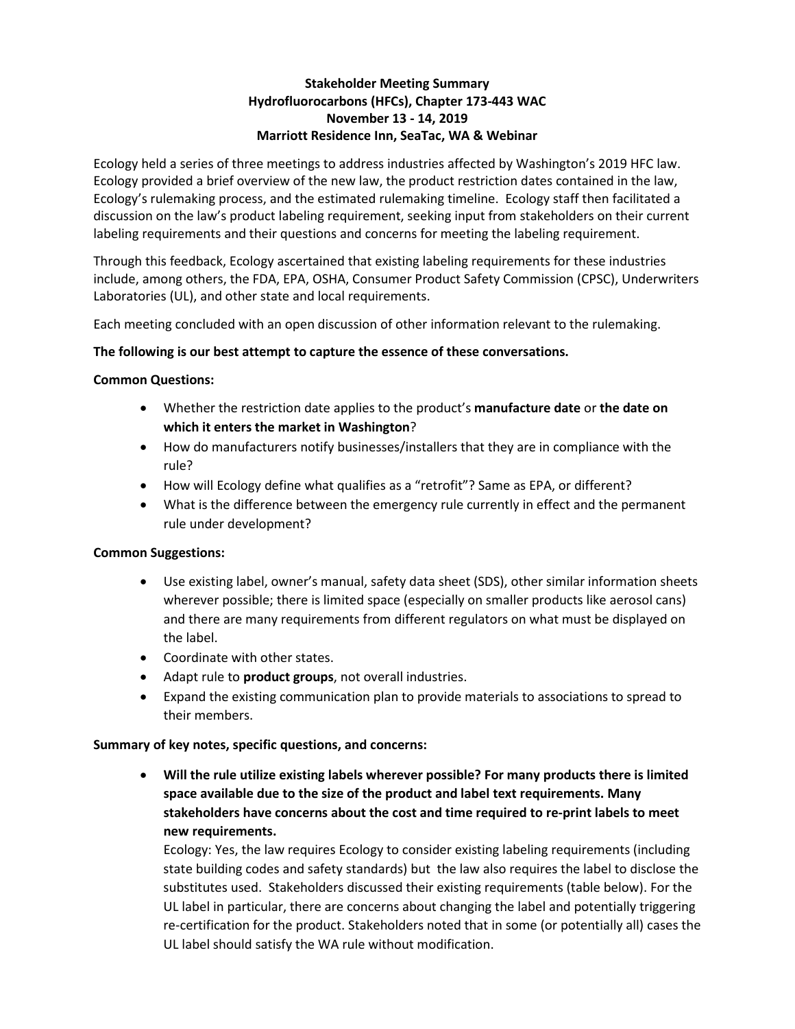### **Stakeholder Meeting Summary Hydrofluorocarbons (HFCs), Chapter 173-443 WAC November 13 - 14, 2019 Marriott Residence Inn, SeaTac, WA & Webinar**

Ecology held a series of three meetings to address industries affected by Washington's 2019 HFC law. Ecology provided a brief overview of the new law, the product restriction dates contained in the law, Ecology's rulemaking process, and the estimated rulemaking timeline. Ecology staff then facilitated a discussion on the law's product labeling requirement, seeking input from stakeholders on their current labeling requirements and their questions and concerns for meeting the labeling requirement.

Through this feedback, Ecology ascertained that existing labeling requirements for these industries include, among others, the FDA, EPA, OSHA, Consumer Product Safety Commission (CPSC), Underwriters Laboratories (UL), and other state and local requirements.

Each meeting concluded with an open discussion of other information relevant to the rulemaking.

#### **The following is our best attempt to capture the essence of these conversations.**

#### **Common Questions:**

- Whether the restriction date applies to the product's **manufacture date** or **the date on which it enters the market in Washington**?
- How do manufacturers notify businesses/installers that they are in compliance with the rule?
- How will Ecology define what qualifies as a "retrofit"? Same as EPA, or different?
- What is the difference between the emergency rule currently in effect and the permanent rule under development?

#### **Common Suggestions:**

- Use existing label, owner's manual, safety data sheet (SDS), other similar information sheets wherever possible; there is limited space (especially on smaller products like aerosol cans) and there are many requirements from different regulators on what must be displayed on the label.
- Coordinate with other states.
- Adapt rule to **product groups**, not overall industries.
- Expand the existing communication plan to provide materials to associations to spread to their members.

#### **Summary of key notes, specific questions, and concerns:**

• **Will the rule utilize existing labels wherever possible? For many products there is limited space available due to the size of the product and label text requirements. Many stakeholders have concerns about the cost and time required to re-print labels to meet new requirements.**

Ecology: Yes, the law requires Ecology to consider existing labeling requirements (including state building codes and safety standards) but the law also requires the label to disclose the substitutes used. Stakeholders discussed their existing requirements (table below). For the UL label in particular, there are concerns about changing the label and potentially triggering re-certification for the product. Stakeholders noted that in some (or potentially all) cases the UL label should satisfy the WA rule without modification.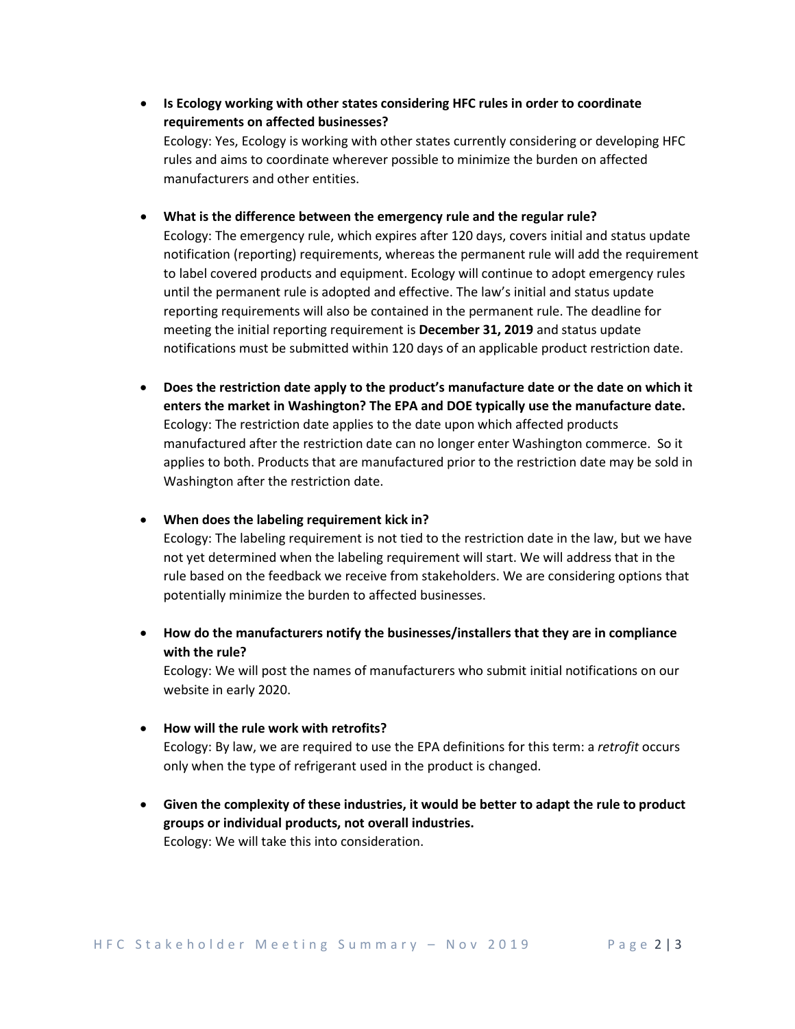- **Is Ecology working with other states considering HFC rules in order to coordinate requirements on affected businesses?**  Ecology: Yes, Ecology is working with other states currently considering or developing HFC rules and aims to coordinate wherever possible to minimize the burden on affected manufacturers and other entities.
- **What is the difference between the emergency rule and the regular rule?**

Ecology: The emergency rule, which expires after 120 days, covers initial and status update notification (reporting) requirements, whereas the permanent rule will add the requirement to label covered products and equipment. Ecology will continue to adopt emergency rules until the permanent rule is adopted and effective. The law's initial and status update reporting requirements will also be contained in the permanent rule. The deadline for meeting the initial reporting requirement is **December 31, 2019** and status update notifications must be submitted within 120 days of an applicable product restriction date.

- **Does the restriction date apply to the product's manufacture date or the date on which it enters the market in Washington? The EPA and DOE typically use the manufacture date.** Ecology: The restriction date applies to the date upon which affected products manufactured after the restriction date can no longer enter Washington commerce. So it applies to both. Products that are manufactured prior to the restriction date may be sold in Washington after the restriction date.
- **When does the labeling requirement kick in?**

Ecology: The labeling requirement is not tied to the restriction date in the law, but we have not yet determined when the labeling requirement will start. We will address that in the rule based on the feedback we receive from stakeholders. We are considering options that potentially minimize the burden to affected businesses.

• **How do the manufacturers notify the businesses/installers that they are in compliance with the rule?**

Ecology: We will post the names of manufacturers who submit initial notifications on our website in early 2020.

- **How will the rule work with retrofits?** Ecology: By law, we are required to use the EPA definitions for this term: a *retrofit* occurs only when the type of refrigerant used in the product is changed.
- **Given the complexity of these industries, it would be better to adapt the rule to product groups or individual products, not overall industries.** Ecology: We will take this into consideration.